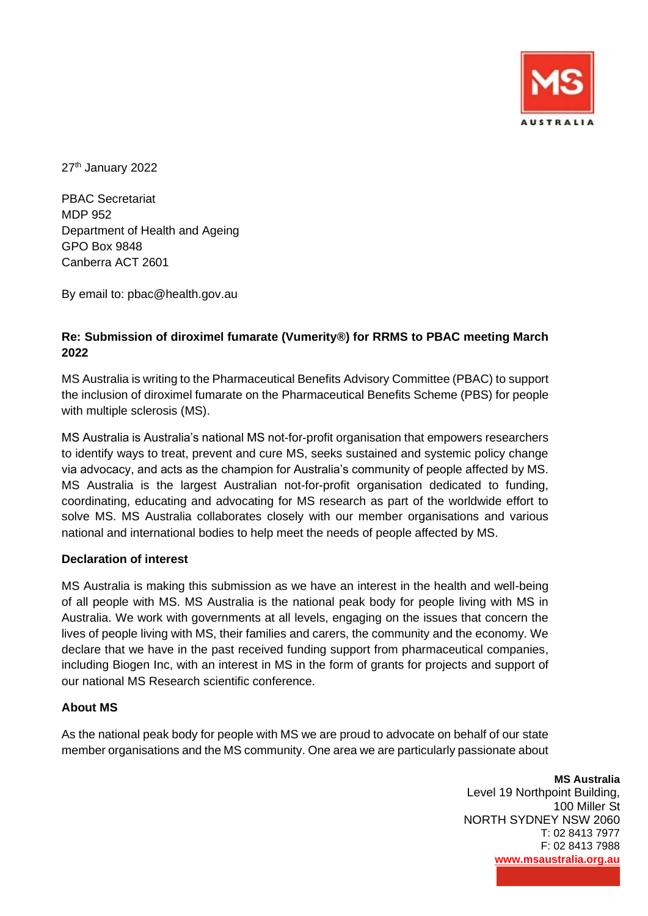

27<sup>th</sup> January 2022

PBAC Secretariat MDP 952 Department of Health and Ageing GPO Box 9848 Canberra ACT 2601

By email to: pbac@health.gov.au

# **Re: Submission of diroximel fumarate (Vumerity®) for RRMS to PBAC meeting March 2022**

MS Australia is writing to the Pharmaceutical Benefits Advisory Committee (PBAC) to support the inclusion of diroximel fumarate on the Pharmaceutical Benefits Scheme (PBS) for people with multiple sclerosis (MS).

MS Australia is Australia's national MS not-for-profit organisation that empowers researchers to identify ways to treat, prevent and cure MS, seeks sustained and systemic policy change via advocacy, and acts as the champion for Australia's community of people affected by MS. MS Australia is the largest Australian not-for-profit organisation dedicated to funding, coordinating, educating and advocating for MS research as part of the worldwide effort to solve MS. MS Australia collaborates closely with our member organisations and various national and international bodies to help meet the needs of people affected by MS.

### **Declaration of interest**

MS Australia is making this submission as we have an interest in the health and well-being of all people with MS. MS Australia is the national peak body for people living with MS in Australia. We work with governments at all levels, engaging on the issues that concern the lives of people living with MS, their families and carers, the community and the economy. We declare that we have in the past received funding support from pharmaceutical companies, including Biogen Inc, with an interest in MS in the form of grants for projects and support of our national MS Research scientific conference.

### **About MS**

As the national peak body for people with MS we are proud to advocate on behalf of our state member organisations and the MS community. One area we are particularly passionate about

> **MS Australia**  Level 19 Northpoint Building, 100 Miller St NORTH SYDNEY NSW 2060 T: 02 8413 7977 F: 02 8413 7988 **[www.msaustralia.org.au](http://www.msaustralia.org.au/)**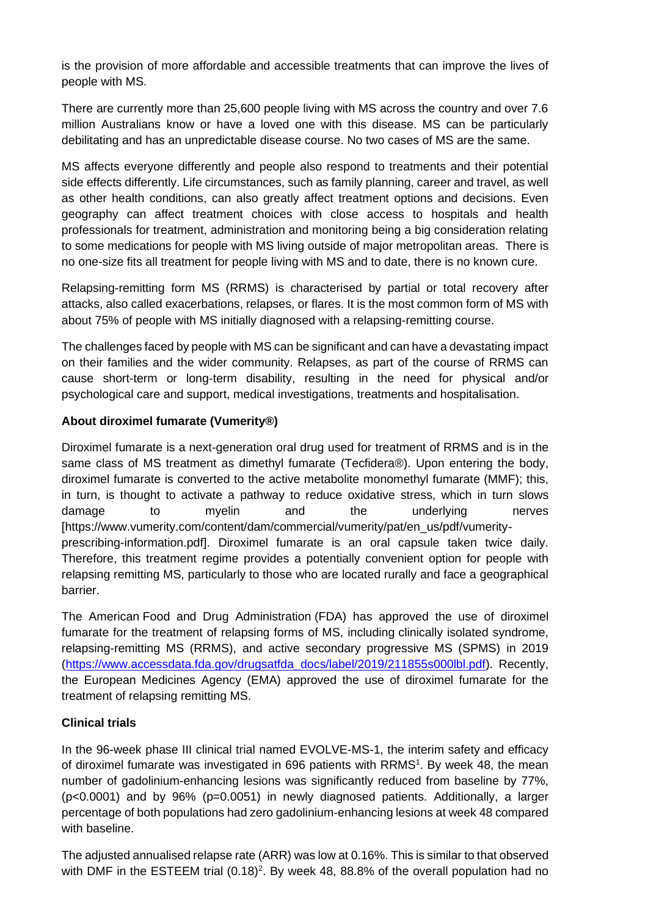is the provision of more affordable and accessible treatments that can improve the lives of people with MS.

There are currently more than 25,600 people living with MS across the country and over 7.6 million Australians know or have a loved one with this disease. MS can be particularly debilitating and has an unpredictable disease course. No two cases of MS are the same.

MS affects everyone differently and people also respond to treatments and their potential side effects differently. Life circumstances, such as family planning, career and travel, as well as other health conditions, can also greatly affect treatment options and decisions. Even geography can affect treatment choices with close access to hospitals and health professionals for treatment, administration and monitoring being a big consideration relating to some medications for people with MS living outside of major metropolitan areas. There is no one-size fits all treatment for people living with MS and to date, there is no known cure.

Relapsing-remitting form MS (RRMS) is characterised by partial or total recovery after attacks, also called exacerbations, relapses, or flares. It is the most common form of MS with about 75% of people with MS initially diagnosed with a relapsing-remitting course.

The challenges faced by people with MS can be significant and can have a devastating impact on their families and the wider community. Relapses, as part of the course of RRMS can cause short-term or long-term disability, resulting in the need for physical and/or psychological care and support, medical investigations, treatments and hospitalisation.

## **About diroximel fumarate (Vumerity®)**

Diroximel fumarate is a next-generation oral drug used for treatment of RRMS and is in the same class of MS treatment as dimethyl fumarate (Tecfidera®). Upon entering the body, diroximel fumarate is converted to the active metabolite monomethyl fumarate (MMF); this, in turn, is thought to activate a pathway to reduce oxidative stress, which in turn slows damage to myelin and the underlying nerves [https://www.vumerity.com/content/dam/commercial/vumerity/pat/en\_us/pdf/vumerityprescribing-information.pdf]. Diroximel fumarate is an oral capsule taken twice daily. Therefore, this treatment regime provides a potentially convenient option for people with relapsing remitting MS, particularly to those who are located rurally and face a geographical barrier.

The American Food and Drug Administration (FDA) has approved the use of diroximel fumarate for the treatment of relapsing forms of MS, including clinically isolated syndrome, relapsing-remitting MS (RRMS), and active secondary progressive MS (SPMS) in 2019 [\(https://www.accessdata.fda.gov/drugsatfda\\_docs/label/2019/211855s000lbl.pdf\)](https://www.accessdata.fda.gov/drugsatfda_docs/label/2019/211855s000lbl.pdf). Recently, the European Medicines Agency (EMA) approved the use of diroximel fumarate for the treatment of relapsing remitting MS.

## **Clinical trials**

In the 96-week phase III clinical trial named EVOLVE-MS-1, the interim safety and efficacy of diroximel fumarate was investigated in 696 patients with RRMS<sup>1</sup>. By week 48, the mean number of gadolinium-enhancing lesions was significantly reduced from baseline by 77%, (p<0.0001) and by 96% (p=0.0051) in newly diagnosed patients. Additionally, a larger percentage of both populations had zero gadolinium-enhancing lesions at week 48 compared with baseline.

The adjusted annualised relapse rate (ARR) was low at 0.16%. This is similar to that observed with DMF in the ESTEEM trial  $(0.18)^2$ . By week 48, 88.8% of the overall population had no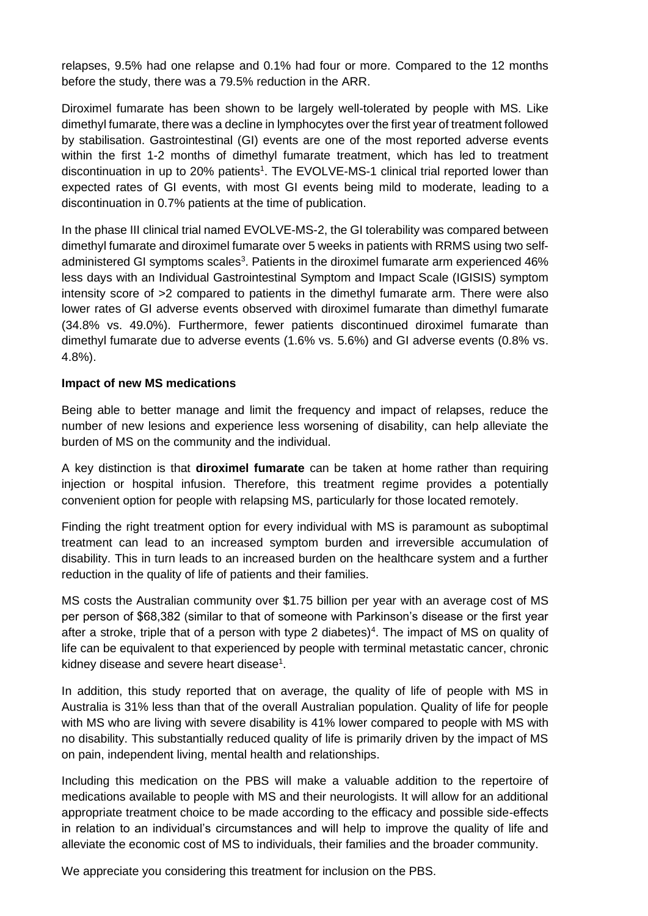relapses, 9.5% had one relapse and 0.1% had four or more. Compared to the 12 months before the study, there was a 79.5% reduction in the ARR.

Diroximel fumarate has been shown to be largely well-tolerated by people with MS. Like dimethyl fumarate, there was a decline in lymphocytes over the first year of treatment followed by stabilisation. Gastrointestinal (GI) events are one of the most reported adverse events within the first 1-2 months of dimethyl fumarate treatment, which has led to treatment discontinuation in up to 20% patients<sup>1</sup>. The EVOLVE-MS-1 clinical trial reported lower than expected rates of GI events, with most GI events being mild to moderate, leading to a discontinuation in 0.7% patients at the time of publication.

In the phase III clinical trial named EVOLVE-MS-2, the GI tolerability was compared between dimethyl fumarate and diroximel fumarate over 5 weeks in patients with RRMS using two selfadministered GI symptoms scales<sup>3</sup>. Patients in the diroximel fumarate arm experienced 46% less days with an Individual Gastrointestinal Symptom and Impact Scale (IGISIS) symptom intensity score of >2 compared to patients in the dimethyl fumarate arm. There were also lower rates of GI adverse events observed with diroximel fumarate than dimethyl fumarate (34.8% vs. 49.0%). Furthermore, fewer patients discontinued diroximel fumarate than dimethyl fumarate due to adverse events (1.6% vs. 5.6%) and GI adverse events (0.8% vs. 4.8%).

#### **Impact of new MS medications**

Being able to better manage and limit the frequency and impact of relapses, reduce the number of new lesions and experience less worsening of disability, can help alleviate the burden of MS on the community and the individual.

A key distinction is that **diroximel fumarate** can be taken at home rather than requiring injection or hospital infusion. Therefore, this treatment regime provides a potentially convenient option for people with relapsing MS, particularly for those located remotely.

Finding the right treatment option for every individual with MS is paramount as suboptimal treatment can lead to an increased symptom burden and irreversible accumulation of disability. This in turn leads to an increased burden on the healthcare system and a further reduction in the quality of life of patients and their families.

MS costs the Australian community over \$1.75 billion per year with an average cost of MS per person of \$68,382 (similar to that of someone with Parkinson's disease or the first year after a stroke, triple that of a person with type 2 diabetes)<sup>4</sup>. The impact of MS on quality of life can be equivalent to that experienced by people with terminal metastatic cancer, chronic kidney disease and severe heart disease<sup>1</sup>.

In addition, this study reported that on average, the quality of life of people with MS in Australia is 31% less than that of the overall Australian population. Quality of life for people with MS who are living with severe disability is 41% lower compared to people with MS with no disability. This substantially reduced quality of life is primarily driven by the impact of MS on pain, independent living, mental health and relationships.

Including this medication on the PBS will make a valuable addition to the repertoire of medications available to people with MS and their neurologists. It will allow for an additional appropriate treatment choice to be made according to the efficacy and possible side-effects in relation to an individual's circumstances and will help to improve the quality of life and alleviate the economic cost of MS to individuals, their families and the broader community.

We appreciate you considering this treatment for inclusion on the PBS.